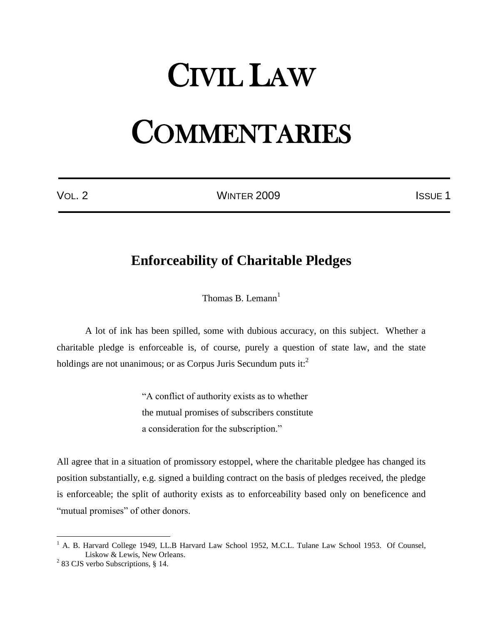## CIVIL LAW

## **COMMENTARIES**

VOL. 2 **ISSUE 1** WINTER 2009

## **Enforceability of Charitable Pledges**

Thomas B. Lemann $<sup>1</sup>$ </sup>

A lot of ink has been spilled, some with dubious accuracy, on this subject. Whether a charitable pledge is enforceable is, of course, purely a question of state law, and the state holdings are not unanimous; or as Corpus Juris Secundum puts  $it:$ <sup>2</sup>

> "A conflict of authority exists as to whether the mutual promises of subscribers constitute a consideration for the subscription."

All agree that in a situation of promissory estoppel, where the charitable pledgee has changed its position substantially, e.g. signed a building contract on the basis of pledges received, the pledge is enforceable; the split of authority exists as to enforceability based only on beneficence and "mutual promises" of other donors.

<sup>&</sup>lt;sup>1</sup> A. B. Harvard College 1949, LL.B Harvard Law School 1952, M.C.L. Tulane Law School 1953. Of Counsel, Liskow & Lewis, New Orleans.

 $2^{2}$  83 CJS verbo Subscriptions, § 14.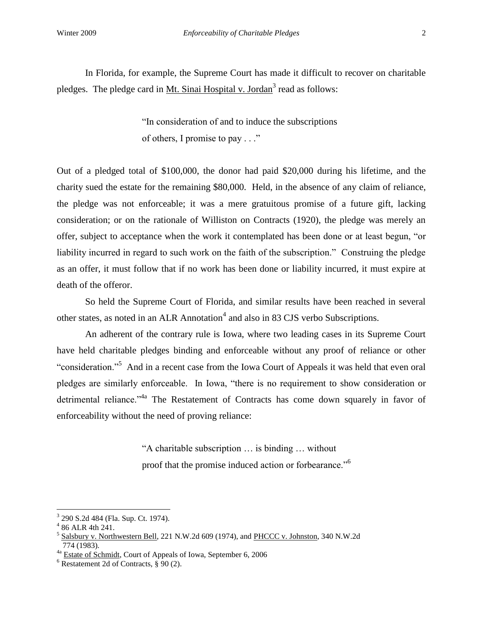In Florida, for example, the Supreme Court has made it difficult to recover on charitable pledges. The pledge card in Mt. Sinai Hospital v. Jordan<sup>3</sup> read as follows:

> "In consideration of and to induce the subscriptions of others, I promise to pay . . ."

Out of a pledged total of \$100,000, the donor had paid \$20,000 during his lifetime, and the charity sued the estate for the remaining \$80,000. Held, in the absence of any claim of reliance, the pledge was not enforceable; it was a mere gratuitous promise of a future gift, lacking consideration; or on the rationale of Williston on Contracts (1920), the pledge was merely an offer, subject to acceptance when the work it contemplated has been done or at least begun, "or liability incurred in regard to such work on the faith of the subscription." Construing the pledge as an offer, it must follow that if no work has been done or liability incurred, it must expire at death of the offeror.

So held the Supreme Court of Florida, and similar results have been reached in several other states, as noted in an ALR Annotation<sup>4</sup> and also in 83 CJS verbo Subscriptions.

An adherent of the contrary rule is Iowa, where two leading cases in its Supreme Court have held charitable pledges binding and enforceable without any proof of reliance or other "consideration."<sup>5</sup> And in a recent case from the Iowa Court of Appeals it was held that even oral pledges are similarly enforceable. In Iowa, "there is no requirement to show consideration or detrimental reliance."<sup>4a</sup> The Restatement of Contracts has come down squarely in favor of enforceability without the need of proving reliance:

> "A charitable subscription … is binding … without proof that the promise induced action or forbearance."<sup>6</sup>

<sup>3</sup> 290 S.2d 484 (Fla. Sup. Ct. 1974).

<sup>4</sup> 86 ALR 4th 241.

<sup>&</sup>lt;sup>5</sup> Salsbury v. Northwestern Bell, 221 N.W.2d 609 (1974), and PHCCC v. Johnston, 340 N.W.2d 774 (1983).

<sup>&</sup>lt;sup>4a</sup> Estate of Schmidt, Court of Appeals of Iowa, September 6, 2006

 $6$  Restatement 2d of Contracts,  $\frac{6}{9}$  90 (2).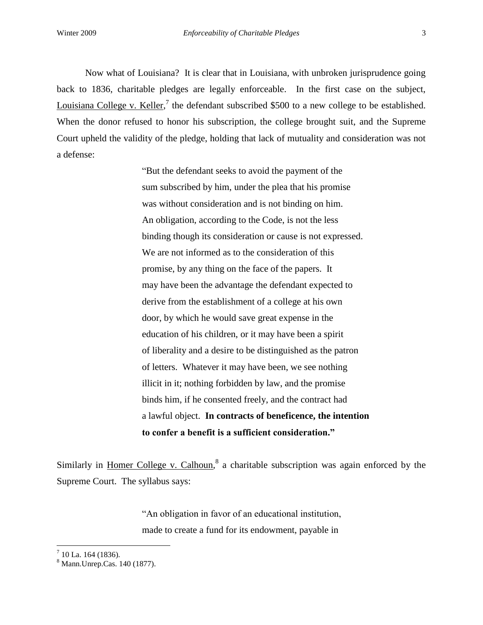Now what of Louisiana? It is clear that in Louisiana, with unbroken jurisprudence going back to 1836, charitable pledges are legally enforceable. In the first case on the subject, Louisiana College v. Keller,<sup>7</sup> the defendant subscribed \$500 to a new college to be established. When the donor refused to honor his subscription, the college brought suit, and the Supreme Court upheld the validity of the pledge, holding that lack of mutuality and consideration was not a defense:

> "But the defendant seeks to avoid the payment of the sum subscribed by him, under the plea that his promise was without consideration and is not binding on him. An obligation, according to the Code, is not the less binding though its consideration or cause is not expressed. We are not informed as to the consideration of this promise, by any thing on the face of the papers. It may have been the advantage the defendant expected to derive from the establishment of a college at his own door, by which he would save great expense in the education of his children, or it may have been a spirit of liberality and a desire to be distinguished as the patron of letters. Whatever it may have been, we see nothing illicit in it; nothing forbidden by law, and the promise binds him, if he consented freely, and the contract had a lawful object. **In contracts of beneficence, the intention to confer a benefit is a sufficient consideration."**

Similarly in Homer College v. Calhoun,<sup>8</sup> a charitable subscription was again enforced by the Supreme Court. The syllabus says:

> "An obligation in favor of an educational institution, made to create a fund for its endowment, payable in

 $7$  10 La. 164 (1836).

<sup>8</sup> Mann.Unrep.Cas. 140 (1877).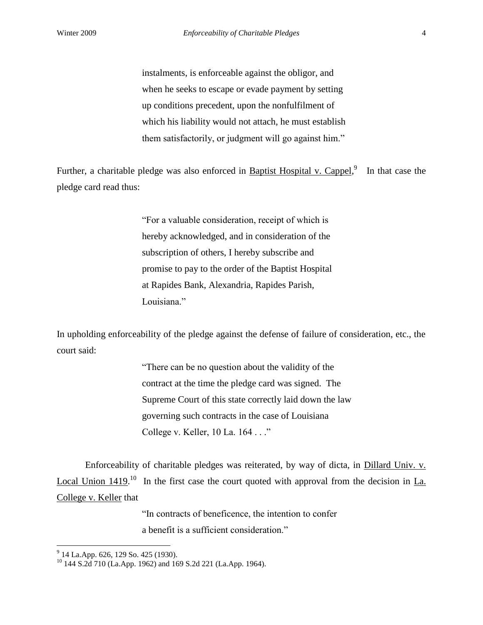instalments, is enforceable against the obligor, and when he seeks to escape or evade payment by setting up conditions precedent, upon the nonfulfilment of which his liability would not attach, he must establish them satisfactorily, or judgment will go against him."

Further, a charitable pledge was also enforced in **Baptist Hospital v. Cappel**,<sup>9</sup> In that case the pledge card read thus:

> "For a valuable consideration, receipt of which is hereby acknowledged, and in consideration of the subscription of others, I hereby subscribe and promise to pay to the order of the Baptist Hospital at Rapides Bank, Alexandria, Rapides Parish, Louisiana."

In upholding enforceability of the pledge against the defense of failure of consideration, etc., the court said:

> "There can be no question about the validity of the contract at the time the pledge card was signed. The Supreme Court of this state correctly laid down the law governing such contracts in the case of Louisiana College v. Keller, 10 La. 164 . . ."

Enforceability of charitable pledges was reiterated, by way of dicta, in Dillard Univ. v. Local Union  $1419$ <sup>10</sup> In the first case the court quoted with approval from the decision in La. College v. Keller that

> "In contracts of beneficence, the intention to confer a benefit is a sufficient consideration."

 9 14 La.App. 626, 129 So. 425 (1930).

<sup>&</sup>lt;sup>10</sup> 144 S.2d 710 (La.App. 1962) and 169 S.2d 221 (La.App. 1964).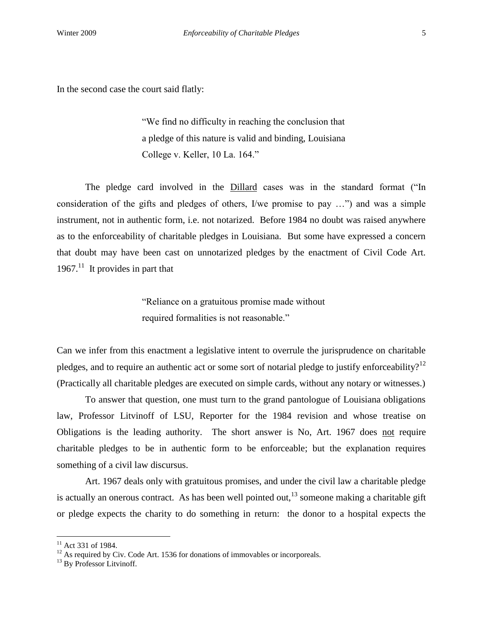In the second case the court said flatly:

"We find no difficulty in reaching the conclusion that a pledge of this nature is valid and binding, Louisiana College v. Keller, 10 La. 164."

The pledge card involved in the Dillard cases was in the standard format ("In consideration of the gifts and pledges of others, I/we promise to pay …") and was a simple instrument, not in authentic form, i.e. not notarized. Before 1984 no doubt was raised anywhere as to the enforceability of charitable pledges in Louisiana. But some have expressed a concern that doubt may have been cast on unnotarized pledges by the enactment of Civil Code Art. 1967. $11$  It provides in part that

> "Reliance on a gratuitous promise made without required formalities is not reasonable."

Can we infer from this enactment a legislative intent to overrule the jurisprudence on charitable pledges, and to require an authentic act or some sort of notarial pledge to justify enforceability?<sup>12</sup> (Practically all charitable pledges are executed on simple cards, without any notary or witnesses.)

To answer that question, one must turn to the grand pantologue of Louisiana obligations law, Professor Litvinoff of LSU, Reporter for the 1984 revision and whose treatise on Obligations is the leading authority. The short answer is No, Art. 1967 does not require charitable pledges to be in authentic form to be enforceable; but the explanation requires something of a civil law discursus.

Art. 1967 deals only with gratuitous promises, and under the civil law a charitable pledge is actually an onerous contract. As has been well pointed out,  $13$  someone making a charitable gift or pledge expects the charity to do something in return: the donor to a hospital expects the

 $11$  Act 331 of 1984.

 $12$  As required by Civ. Code Art. 1536 for donations of immovables or incorporeals.

<sup>&</sup>lt;sup>13</sup> By Professor Litvinoff.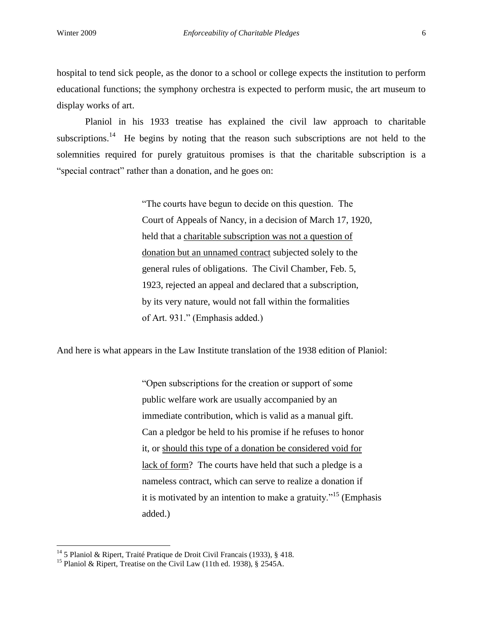hospital to tend sick people, as the donor to a school or college expects the institution to perform educational functions; the symphony orchestra is expected to perform music, the art museum to display works of art.

Planiol in his 1933 treatise has explained the civil law approach to charitable subscriptions.<sup>14</sup> He begins by noting that the reason such subscriptions are not held to the solemnities required for purely gratuitous promises is that the charitable subscription is a "special contract" rather than a donation, and he goes on:

> "The courts have begun to decide on this question. The Court of Appeals of Nancy, in a decision of March 17, 1920, held that a charitable subscription was not a question of donation but an unnamed contract subjected solely to the general rules of obligations. The Civil Chamber, Feb. 5, 1923, rejected an appeal and declared that a subscription, by its very nature, would not fall within the formalities of Art. 931." (Emphasis added.)

And here is what appears in the Law Institute translation of the 1938 edition of Planiol:

"Open subscriptions for the creation or support of some public welfare work are usually accompanied by an immediate contribution, which is valid as a manual gift. Can a pledgor be held to his promise if he refuses to honor it, or should this type of a donation be considered void for lack of form? The courts have held that such a pledge is a nameless contract, which can serve to realize a donation if it is motivated by an intention to make a gratuity.<sup> $15$ </sup> (Emphasis added.)

<sup>&</sup>lt;sup>14</sup> 5 Planiol & Ripert, Traité Pratique de Droit Civil Francais (1933), § 418.

<sup>&</sup>lt;sup>15</sup> Planiol & Ripert, Treatise on the Civil Law (11th ed. 1938), § 2545A.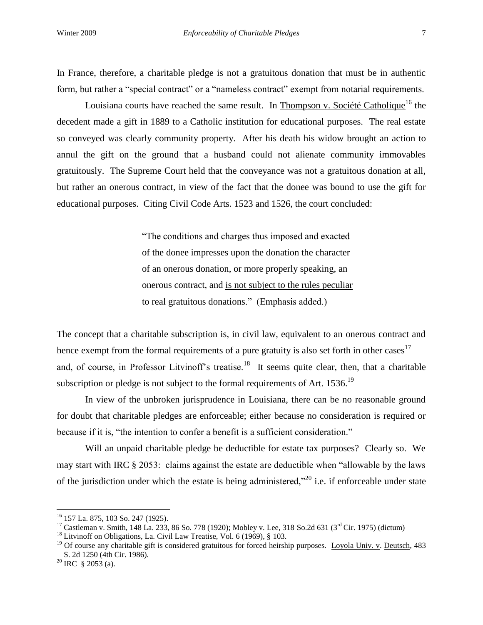In France, therefore, a charitable pledge is not a gratuitous donation that must be in authentic form, but rather a "special contract" or a "nameless contract" exempt from notarial requirements.

Louisiana courts have reached the same result. In Thompson v. Société Catholique<sup>16</sup> the decedent made a gift in 1889 to a Catholic institution for educational purposes. The real estate so conveyed was clearly community property. After his death his widow brought an action to annul the gift on the ground that a husband could not alienate community immovables gratuitously. The Supreme Court held that the conveyance was not a gratuitous donation at all, but rather an onerous contract, in view of the fact that the donee was bound to use the gift for educational purposes. Citing Civil Code Arts. 1523 and 1526, the court concluded:

> "The conditions and charges thus imposed and exacted of the donee impresses upon the donation the character of an onerous donation, or more properly speaking, an onerous contract, and is not subject to the rules peculiar to real gratuitous donations." (Emphasis added.)

The concept that a charitable subscription is, in civil law, equivalent to an onerous contract and hence exempt from the formal requirements of a pure gratuity is also set forth in other cases<sup>17</sup> and, of course, in Professor Litvinoff's treatise.<sup>18</sup> It seems quite clear, then, that a charitable subscription or pledge is not subject to the formal requirements of Art. 1536.<sup>19</sup>

In view of the unbroken jurisprudence in Louisiana, there can be no reasonable ground for doubt that charitable pledges are enforceable; either because no consideration is required or because if it is, "the intention to confer a benefit is a sufficient consideration."

Will an unpaid charitable pledge be deductible for estate tax purposes? Clearly so. We may start with IRC § 2053: claims against the estate are deductible when "allowable by the laws of the jurisdiction under which the estate is being administered,"<sup>20</sup> i.e. if enforceable under state

<sup>16</sup> 157 La. 875, 103 So. 247 (1925).

<sup>&</sup>lt;sup>17</sup> Castleman v. Smith, 148 La. 233, 86 So. 778 (1920); Mobley v. Lee, 318 So. 2d 631 (3<sup>rd</sup> Cir. 1975) (dictum)

<sup>&</sup>lt;sup>18</sup> Litvinoff on Obligations, La. Civil Law Treatise, Vol. 6 (1969),  $\S$  103.

 $19$  Of course any charitable gift is considered gratuitous for forced heirship purposes. Loyola Univ. v. Deutsch, 483 S. 2d 1250 (4th Cir. 1986).

 $^{20}$  IRC § 2053 (a).